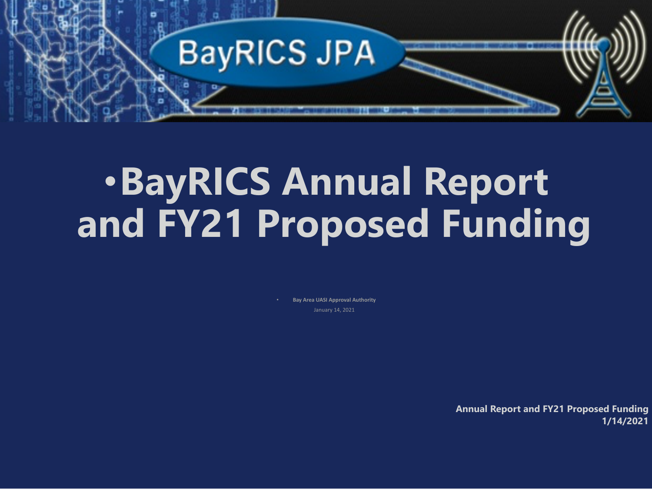**Annual Report and FY21 Proposed Funding 1/14/2021**



# •**BayRICS Annual Report and FY21 Proposed Funding**

• **Bay Area UASI Approval Authority** January 14, 2021

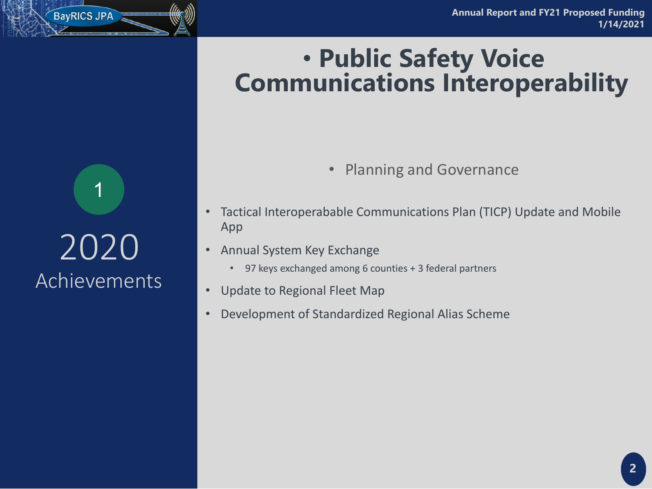• Tactical Interoperabable Communications Plan (TICP) Update and Mobile

- App
- Annual System Key Exchange
	- 97 keys exchanged among 6 counties + 3 federal partners
- Update to Regional Fleet Map
- Development of Standardized Regional Alias Scheme

Planning and Governance

# 2020 Achievements

# • **Public Safety Voice Communications Interoperability**

1

BayRICS JPA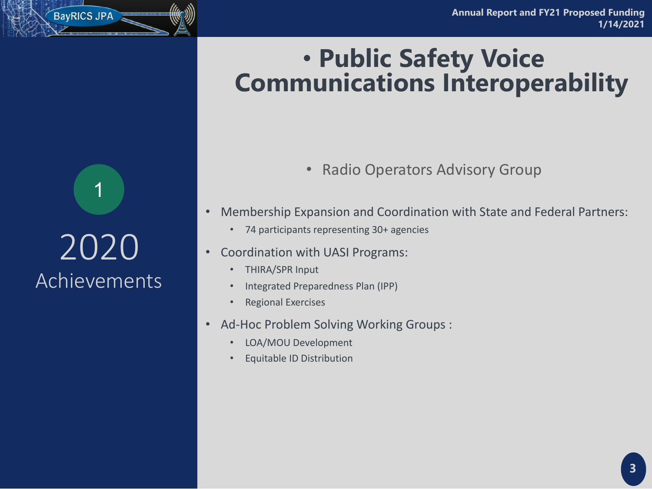• Membership Expansion and Coordination with State and Federal Partners:

- - 74 participants representing 30+ agencies
- Coordination with UASI Programs:
	- THIRA/SPR Input
	- Integrated Preparedness Plan (IPP)
	- Regional Exercises
- Ad-Hoc Problem Solving Working Groups :
	- LOA/MOU Development
	- Equitable ID Distribution

# 2020 Achievements

# • **Public Safety Voice Communications Interoperability**

### • Radio Operators Advisory Group

1

BayRICS JPA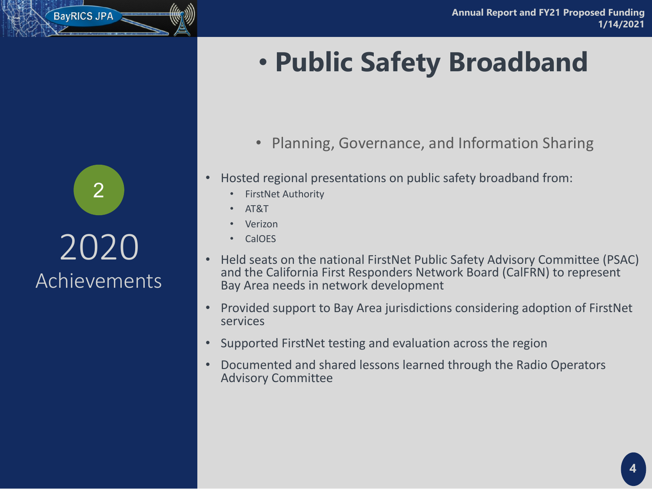- Planning, Governance, and Information Sharing
- Hosted regional presentations on public safety broadband from:
	- **FirstNet Authority**
	- AT&T
	- **Verizon**
	- CalOES
- Held seats on the national FirstNet Public Safety Advisory Committee (PSAC) and the California First Responders Network Board (CalFRN) to represent Bay Area needs in network development
- Provided support to Bay Area jurisdictions considering adoption of FirstNet services
- Supported FirstNet testing and evaluation across the region
- Documented and shared lessons learned through the Radio Operators Advisory Committee

### BayRICS JPA

# • **Public Safety Broadband**

2020 Achievements 2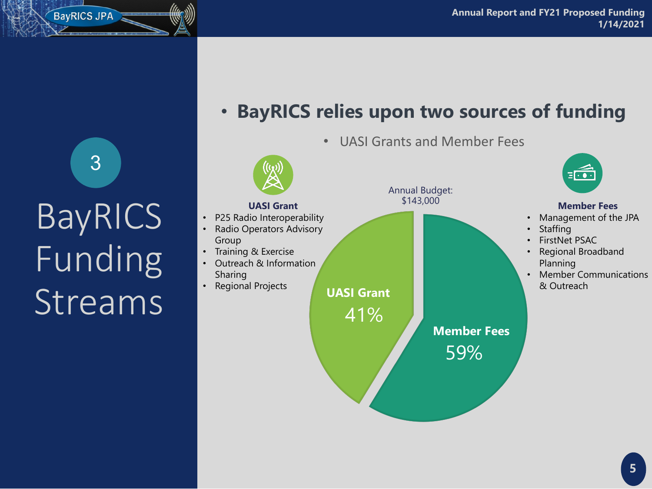BayRICS JPA



### • **BayRICS relies upon two sources of funding**

### • UASI Grants and Member Fees

#### **Member Fees**

- P25 Radio Interoperability
- Radio Operators Advisory Group
- Training & Exercise
- Outreach & Information Sharing
- Regional Projects

- Management of the JPA
- **Staffing**
- FirstNet PSAC
- Regional Broadband Planning
- Member Communications & Outreach

#### **UASI Grant**

41%





**UASI Grant**



#### Annual Budget: \$143,000

3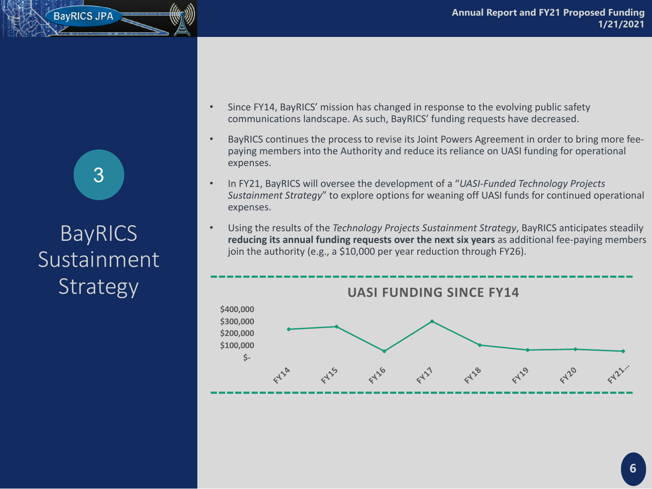• Since FY14, BayRICS' mission has changed in response to the evolving public safety

• BayRICS continues the process to revise its Joint Powers Agreement in order to bring more feepaying members into the Authority and reduce its reliance on UASI funding for operational

• In FY21, BayRICS will oversee the development of a "*UASI-Funded Technology Projects Sustainment Strategy*" to explore options for weaning off UASI funds for continued operational

- communications landscape. As such, BayRICS' funding requests have decreased.
- expenses.
- expenses.
- join the authority (e.g., a \$10,000 per year reduction through FY26).

### **BayRICS Sustainment** Strategy

• Using the results of the *Technology Projects Sustainment Strategy*, BayRICS anticipates steadily **reducing its annual funding requests over the next six years** as additional fee-paying members

### BayRICS JPA